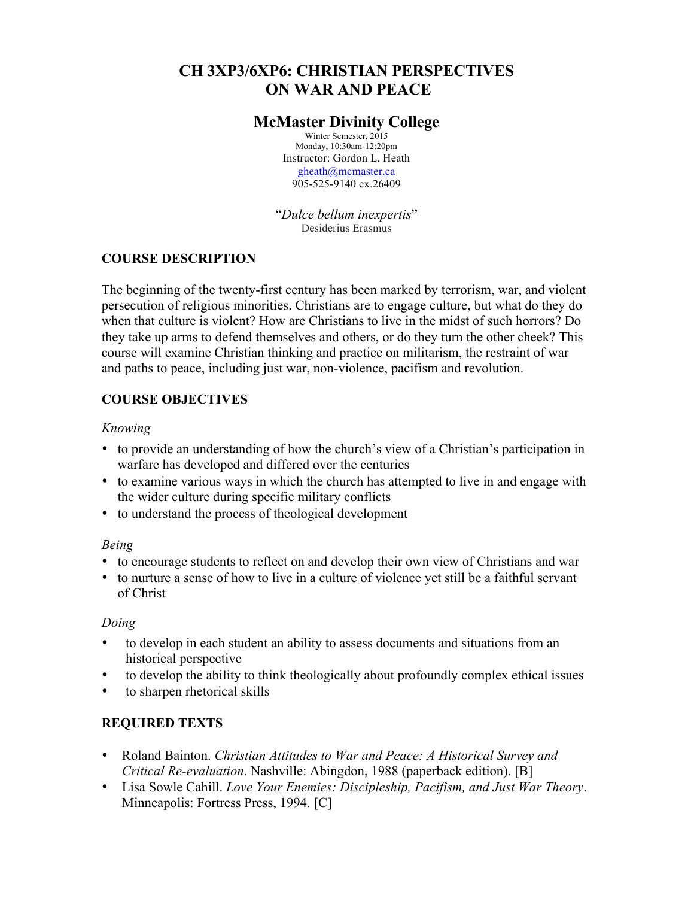# **CH 3XP3/6XP6: CHRISTIAN PERSPECTIVES ON WAR AND PEACE**

# **McMaster Divinity College**

Winter Semester, 2015 Monday, 10:30am-12:20pm Instructor: Gordon L. Heath gheath@mcmaster.ca 905-525-9140 ex.26409

"*Dulce bellum inexpertis*" Desiderius Erasmus

## **COURSE DESCRIPTION**

The beginning of the twenty-first century has been marked by terrorism, war, and violent persecution of religious minorities. Christians are to engage culture, but what do they do when that culture is violent? How are Christians to live in the midst of such horrors? Do they take up arms to defend themselves and others, or do they turn the other cheek? This course will examine Christian thinking and practice on militarism, the restraint of war and paths to peace, including just war, non-violence, pacifism and revolution.

# **COURSE OBJECTIVES**

### *Knowing*

- to provide an understanding of how the church's view of a Christian's participation in warfare has developed and differed over the centuries
- to examine various ways in which the church has attempted to live in and engage with the wider culture during specific military conflicts
- to understand the process of theological development

### *Being*

- to encourage students to reflect on and develop their own view of Christians and war
- to nurture a sense of how to live in a culture of violence yet still be a faithful servant of Christ

### *Doing*

- to develop in each student an ability to assess documents and situations from an historical perspective
- to develop the ability to think theologically about profoundly complex ethical issues
- to sharpen rhetorical skills

# **REQUIRED TEXTS**

- Roland Bainton. *Christian Attitudes to War and Peace: A Historical Survey and Critical Re-evaluation*. Nashville: Abingdon, 1988 (paperback edition). [B]
- Lisa Sowle Cahill. *Love Your Enemies: Discipleship, Pacifism, and Just War Theory*. Minneapolis: Fortress Press, 1994. [C]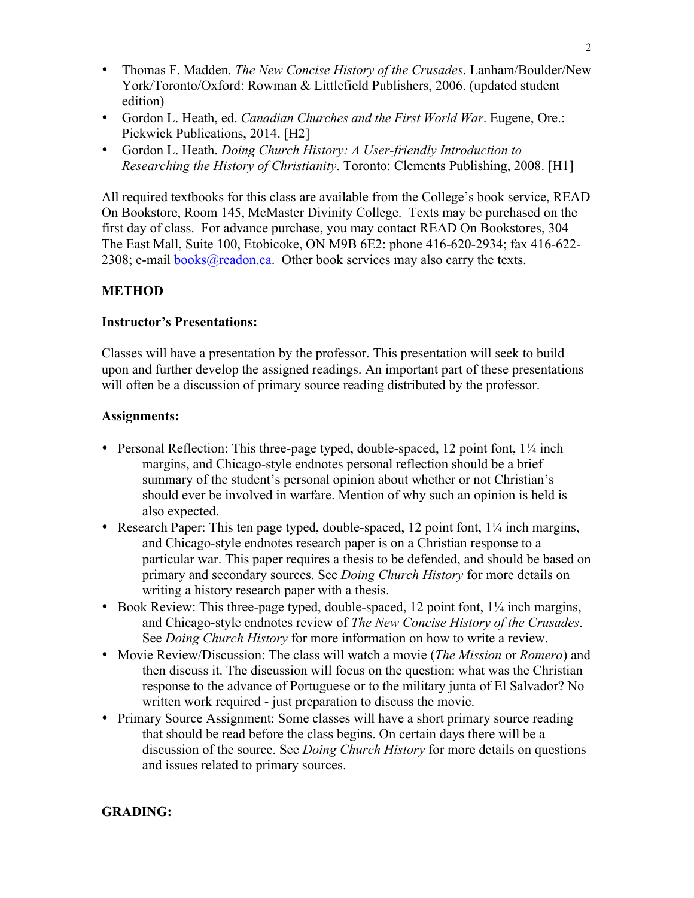- Thomas F. Madden. *The New Concise History of the Crusades*. Lanham/Boulder/New York/Toronto/Oxford: Rowman & Littlefield Publishers, 2006. (updated student edition)
- Gordon L. Heath, ed. *Canadian Churches and the First World War*. Eugene, Ore.: Pickwick Publications, 2014. [H2]
- Gordon L. Heath. *Doing Church History: A User-friendly Introduction to Researching the History of Christianity*. Toronto: Clements Publishing, 2008. [H1]

All required textbooks for this class are available from the College's book service, READ On Bookstore, Room 145, McMaster Divinity College. Texts may be purchased on the first day of class. For advance purchase, you may contact READ On Bookstores, 304 The East Mall, Suite 100, Etobicoke, ON M9B 6E2: phone 416-620-2934; fax 416-622- 2308; e-mail books@readon.ca. Other book services may also carry the texts.

### **METHOD**

#### **Instructor's Presentations:**

Classes will have a presentation by the professor. This presentation will seek to build upon and further develop the assigned readings. An important part of these presentations will often be a discussion of primary source reading distributed by the professor.

#### **Assignments:**

- Personal Reflection: This three-page typed, double-spaced, 12 point font,  $1\frac{1}{4}$  inch margins, and Chicago-style endnotes personal reflection should be a brief summary of the student's personal opinion about whether or not Christian's should ever be involved in warfare. Mention of why such an opinion is held is also expected.
- Research Paper: This ten page typed, double-spaced, 12 point font,  $1/4$  inch margins, and Chicago-style endnotes research paper is on a Christian response to a particular war. This paper requires a thesis to be defended, and should be based on primary and secondary sources. See *Doing Church History* for more details on writing a history research paper with a thesis.
- Book Review: This three-page typed, double-spaced, 12 point font,  $1\frac{1}{4}$  inch margins, and Chicago-style endnotes review of *The New Concise History of the Crusades*. See *Doing Church History* for more information on how to write a review.
- Movie Review/Discussion: The class will watch a movie (*The Mission* or *Romero*) and then discuss it. The discussion will focus on the question: what was the Christian response to the advance of Portuguese or to the military junta of El Salvador? No written work required - just preparation to discuss the movie.
- Primary Source Assignment: Some classes will have a short primary source reading that should be read before the class begins. On certain days there will be a discussion of the source. See *Doing Church History* for more details on questions and issues related to primary sources.

#### **GRADING:**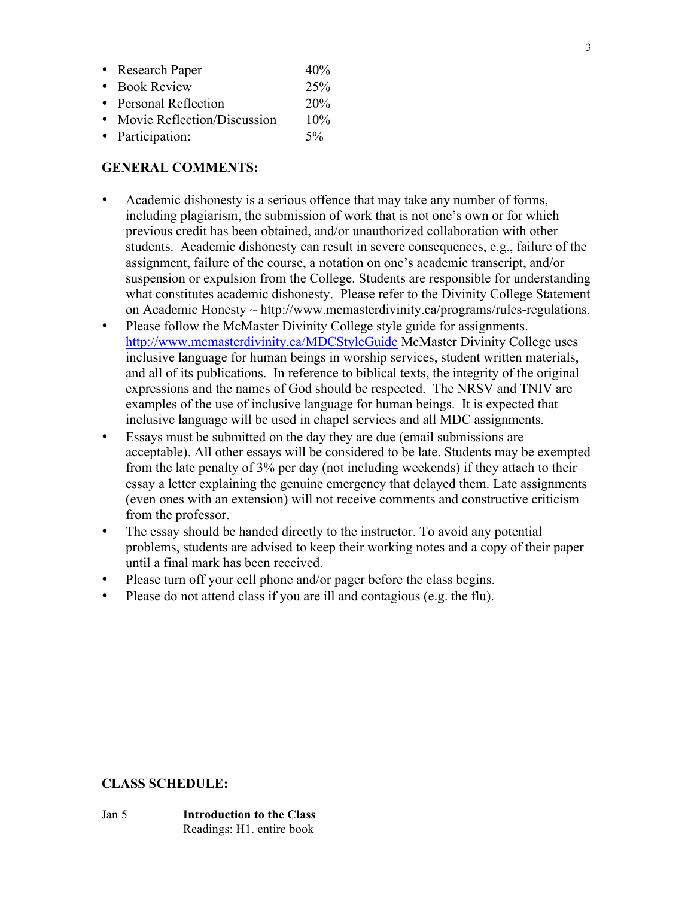| • Research Paper              | 40%   |
|-------------------------------|-------|
| • Book Review                 | 25%   |
| • Personal Reflection         | 20%   |
| • Movie Reflection/Discussion | 10%   |
| • Participation:              | $5\%$ |

### **GENERAL COMMENTS:**

- Academic dishonesty is a serious offence that may take any number of forms, including plagiarism, the submission of work that is not one's own or for which previous credit has been obtained, and/or unauthorized collaboration with other students. Academic dishonesty can result in severe consequences, e.g., failure of the assignment, failure of the course, a notation on one's academic transcript, and/or suspension or expulsion from the College. Students are responsible for understanding what constitutes academic dishonesty. Please refer to the Divinity College Statement on Academic Honesty ~ http://www.mcmasterdivinity.ca/programs/rules-regulations.
- Please follow the McMaster Divinity College style guide for assignments. http://www.mcmasterdivinity.ca/MDCStyleGuide McMaster Divinity College uses inclusive language for human beings in worship services, student written materials, and all of its publications. In reference to biblical texts, the integrity of the original expressions and the names of God should be respected. The NRSV and TNIV are examples of the use of inclusive language for human beings. It is expected that inclusive language will be used in chapel services and all MDC assignments.
- Essays must be submitted on the day they are due (email submissions are acceptable). All other essays will be considered to be late. Students may be exempted from the late penalty of 3% per day (not including weekends) if they attach to their essay a letter explaining the genuine emergency that delayed them. Late assignments (even ones with an extension) will not receive comments and constructive criticism from the professor.
- The essay should be handed directly to the instructor. To avoid any potential problems, students are advised to keep their working notes and a copy of their paper until a final mark has been received.
- Please turn off your cell phone and/or pager before the class begins.
- Please do not attend class if you are ill and contagious (e.g. the flu).

### **CLASS SCHEDULE:**

Jan 5 **Introduction to the Class** Readings: H1. entire book